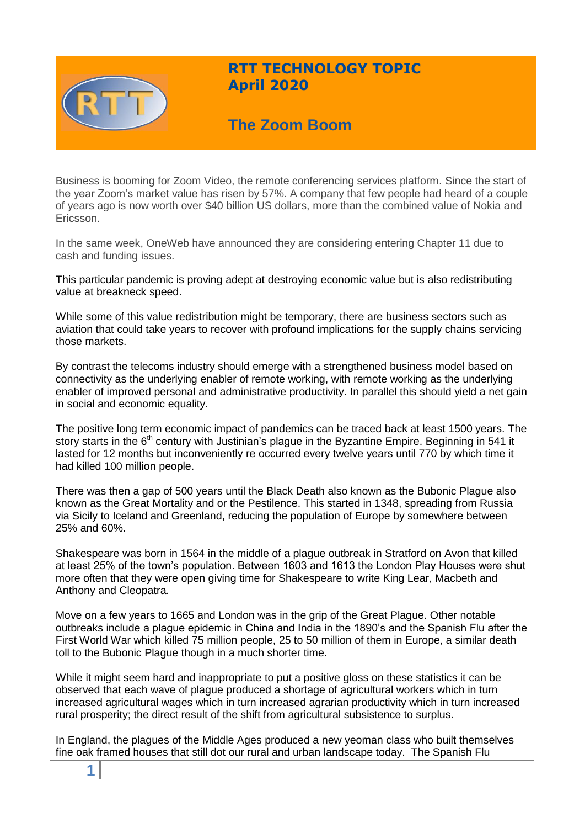

# **RTT TECHNOLOGY TOPIC April 2020**

# **The Zoom Boom**

Business is booming for Zoom Video, the remote conferencing services platform. Since the start of the year Zoom's market value has risen by 57%. A company that few people had heard of a couple of years ago is now worth over \$40 billion US dollars, more than the combined value of Nokia and Ericsson.

In the same week, OneWeb have announced they are considering entering Chapter 11 due to cash and funding issues.

This particular pandemic is proving adept at destroying economic value but is also redistributing value at breakneck speed.

While some of this value redistribution might be temporary, there are business sectors such as aviation that could take years to recover with profound implications for the supply chains servicing those markets.

By contrast the telecoms industry should emerge with a strengthened business model based on connectivity as the underlying enabler of remote working, with remote working as the underlying enabler of improved personal and administrative productivity. In parallel this should yield a net gain in social and economic equality.

The positive long term economic impact of pandemics can be traced back at least 1500 years. The story starts in the 6<sup>th</sup> century with Justinian's plague in the Byzantine Empire. Beginning in 541 it lasted for 12 months but inconveniently re occurred every twelve years until 770 by which time it had killed 100 million people.

There was then a gap of 500 years until the Black Death also known as the Bubonic Plague also known as the Great Mortality and or the Pestilence. This started in 1348, spreading from Russia via Sicily to Iceland and Greenland, reducing the population of Europe by somewhere between 25% and 60%.

Shakespeare was born in 1564 in the middle of a plague outbreak in Stratford on Avon that killed at least 25% of the town's population. Between 1603 and 1613 the London Play Houses were shut more often that they were open giving time for Shakespeare to write King Lear, Macbeth and Anthony and Cleopatra.

Move on a few years to 1665 and London was in the grip of the Great Plague. Other notable outbreaks include a plague epidemic in China and India in the 1890's and the Spanish Flu after the First World War which killed 75 million people, 25 to 50 million of them in Europe, a similar death toll to the Bubonic Plague though in a much shorter time.

While it might seem hard and inappropriate to put a positive gloss on these statistics it can be observed that each wave of plague produced a shortage of agricultural workers which in turn increased agricultural wages which in turn increased agrarian productivity which in turn increased rural prosperity; the direct result of the shift from agricultural subsistence to surplus.

In England, the plagues of the Middle Ages produced a new yeoman class who built themselves fine oak framed houses that still dot our rural and urban landscape today. The Spanish Flu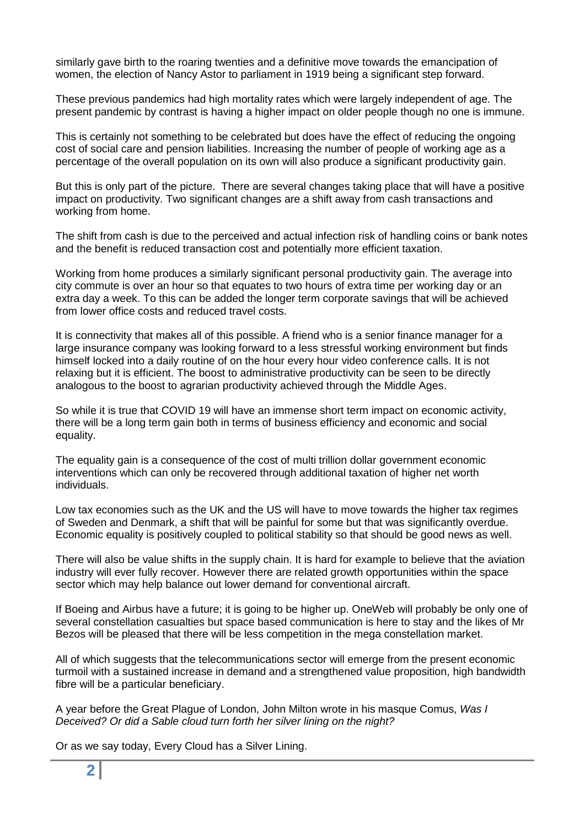similarly gave birth to the roaring twenties and a definitive move towards the emancipation of women, the election of Nancy Astor to parliament in 1919 being a significant step forward.

These previous pandemics had high mortality rates which were largely independent of age. The present pandemic by contrast is having a higher impact on older people though no one is immune.

This is certainly not something to be celebrated but does have the effect of reducing the ongoing cost of social care and pension liabilities. Increasing the number of people of working age as a percentage of the overall population on its own will also produce a significant productivity gain.

But this is only part of the picture. There are several changes taking place that will have a positive impact on productivity. Two significant changes are a shift away from cash transactions and working from home.

The shift from cash is due to the perceived and actual infection risk of handling coins or bank notes and the benefit is reduced transaction cost and potentially more efficient taxation.

Working from home produces a similarly significant personal productivity gain. The average into city commute is over an hour so that equates to two hours of extra time per working day or an extra day a week. To this can be added the longer term corporate savings that will be achieved from lower office costs and reduced travel costs.

It is connectivity that makes all of this possible. A friend who is a senior finance manager for a large insurance company was looking forward to a less stressful working environment but finds himself locked into a daily routine of on the hour every hour video conference calls. It is not relaxing but it is efficient. The boost to administrative productivity can be seen to be directly analogous to the boost to agrarian productivity achieved through the Middle Ages.

So while it is true that COVID 19 will have an immense short term impact on economic activity, there will be a long term gain both in terms of business efficiency and economic and social equality.

The equality gain is a consequence of the cost of multi trillion dollar government economic interventions which can only be recovered through additional taxation of higher net worth individuals.

Low tax economies such as the UK and the US will have to move towards the higher tax regimes of Sweden and Denmark, a shift that will be painful for some but that was significantly overdue. Economic equality is positively coupled to political stability so that should be good news as well.

There will also be value shifts in the supply chain. It is hard for example to believe that the aviation industry will ever fully recover. However there are related growth opportunities within the space sector which may help balance out lower demand for conventional aircraft.

If Boeing and Airbus have a future; it is going to be higher up. OneWeb will probably be only one of several constellation casualties but space based communication is here to stay and the likes of Mr Bezos will be pleased that there will be less competition in the mega constellation market.

All of which suggests that the telecommunications sector will emerge from the present economic turmoil with a sustained increase in demand and a strengthened value proposition, high bandwidth fibre will be a particular beneficiary.

A year before the Great Plague of London, John Milton wrote in his masque Comus, *Was I Deceived? Or did a Sable cloud turn forth her silver lining on the night?*

Or as we say today, Every Cloud has a Silver Lining.